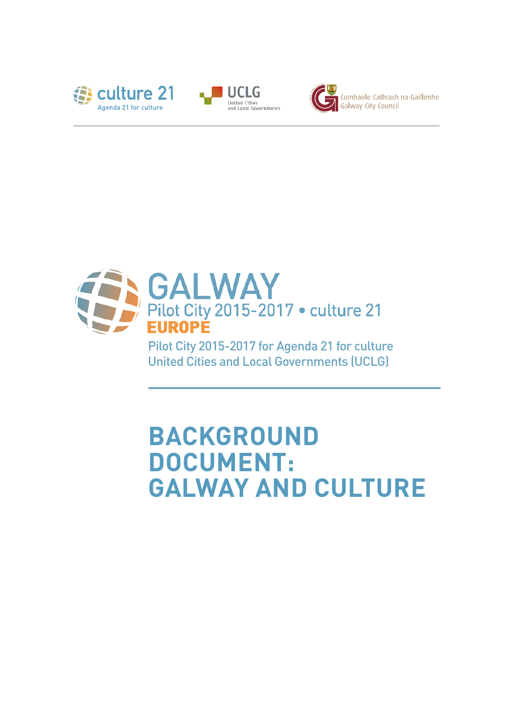







Pilot City 2015-2017 for Agenda 21 for culture United Cities and Local Governments (UCLG)

# **BACKGROUND DOCUMENT: GALWAY AND CULTURE**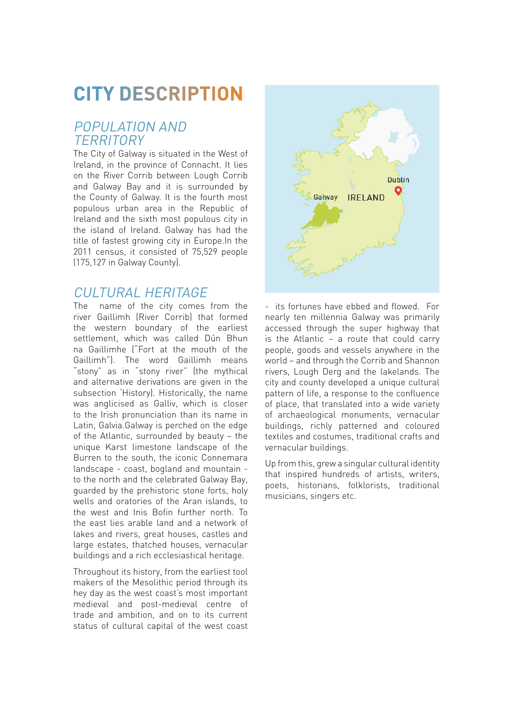## **CITY DESCRIPTION**

### POPULATION AND **TERRITORY**

The City of Galway is situated in the West of Ireland, in the province of Connacht. It lies on the River Corrib between Lough Corrib and Galway Bay and it is surrounded by the County of Galway. It is the fourth most populous urban area in the Republic of Ireland and the sixth most populous city in the island of Ireland. Galway has had the title of fastest growing city in Europe.In the 2011 census, it consisted of 75,529 people (175,127 in Galway County).

### CULTURAL HERITAGE

The name of the city comes from the river Gaillimh (River Corrib) that formed the western boundary of the earliest settlement, which was called Dún Bhun na Gaillimhe ("Fort at the mouth of the Gaillimh"). The word Gaillimh means "stony" as in "stony river" (the mythical and alternative derivations are given in the subsection 'History). Historically, the name was anglicised as Galliv, which is closer to the Irish pronunciation than its name in Latin, Galvia.Galway is perched on the edge of the Atlantic, surrounded by beauty – the unique Karst limestone landscape of the Burren to the south, the iconic Connemara landscape - coast, bogland and mountain to the north and the celebrated Galway Bay, guarded by the prehistoric stone forts, holy wells and oratories of the Aran islands, to the west and Inis Bofin further north. To the east lies arable land and a network of lakes and rivers, great houses, castles and large estates, thatched houses, vernacular buildings and a rich ecclesiastical heritage.

Throughout its history, from the earliest tool makers of the Mesolithic period through its hey day as the west coast's most important medieval and post-medieval centre of trade and ambition, and on to its current status of cultural capital of the west coast



- its fortunes have ebbed and flowed. For nearly ten millennia Galway was primarily accessed through the super highway that is the Atlantic – a route that could carry people, goods and vessels anywhere in the world – and through the Corrib and Shannon rivers, Lough Derg and the lakelands. The city and county developed a unique cultural pattern of life, a response to the confluence of place, that translated into a wide variety of archaeological monuments, vernacular buildings, richly patterned and coloured textiles and costumes, traditional crafts and vernacular buildings.

Up from this, grew a singular cultural identity that inspired hundreds of artists, writers, poets, historians, folklorists, traditional musicians, singers etc.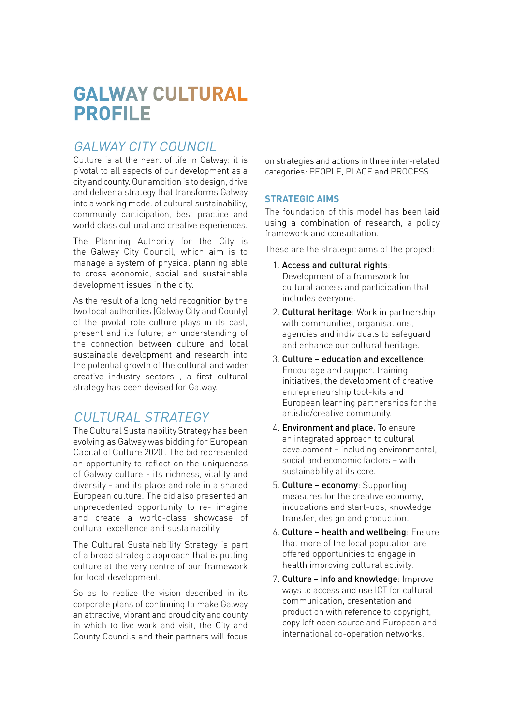## **GALWAY CULTURAL PROFILE**

## GALWAY CITY COUNCIL

Culture is at the heart of life in Galway: it is pivotal to all aspects of our development as a city and county. Our ambition is to design, drive and deliver a strategy that transforms Galway into a working model of cultural sustainability, community participation, best practice and world class cultural and creative experiences.

The Planning Authority for the City is the Galway City Council, which aim is to manage a system of physical planning able to cross economic, social and sustainable development issues in the city.

As the result of a long held recognition by the two local authorities (Galway City and County) of the pivotal role culture plays in its past, present and its future; an understanding of the connection between culture and local sustainable development and research into the potential growth of the cultural and wider creative industry sectors , a first cultural strategy has been devised for Galway.

## CUI TURAI STRATEGY

The Cultural Sustainability Strategy has been evolving as Galway was bidding for European Capital of Culture 2020 . The bid represented an opportunity to reflect on the uniqueness of Galway culture - its richness, vitality and diversity - and its place and role in a shared European culture. The bid also presented an unprecedented opportunity to re- imagine and create a world-class showcase of cultural excellence and sustainability.

The Cultural Sustainability Strategy is part of a broad strategic approach that is putting culture at the very centre of our framework for local development.

So as to realize the vision described in its corporate plans of continuing to make Galway an attractive, vibrant and proud city and county in which to live work and visit, the City and County Councils and their partners will focus

on strategies and actions in three inter-related categories: PEOPLE, PLACE and PROCESS.

#### **STRATEGIC AIMS**

The foundation of this model has been laid using a combination of research, a policy framework and consultation.

These are the strategic aims of the project:

- 1. Access and cultural rights: Development of a framework for cultural access and participation that includes everyone.
- 2. Cultural heritage: Work in partnership with communities, organisations, agencies and individuals to safeguard and enhance our cultural heritage.
- 3. Culture education and excellence: Encourage and support training initiatives, the development of creative entrepreneurship tool-kits and European learning partnerships for the artistic/creative community.
- 4. Environment and place. To ensure an integrated approach to cultural development – including environmental, social and economic factors – with sustainability at its core.
- 5. Culture economy: Supporting measures for the creative economy, incubations and start-ups, knowledge transfer, design and production.
- 6. Culture health and wellbeing: Ensure that more of the local population are offered opportunities to engage in health improving cultural activity.
- 7. Culture info and knowledge: Improve ways to access and use ICT for cultural communication, presentation and production with reference to copyright, copy left open source and European and international co-operation networks.